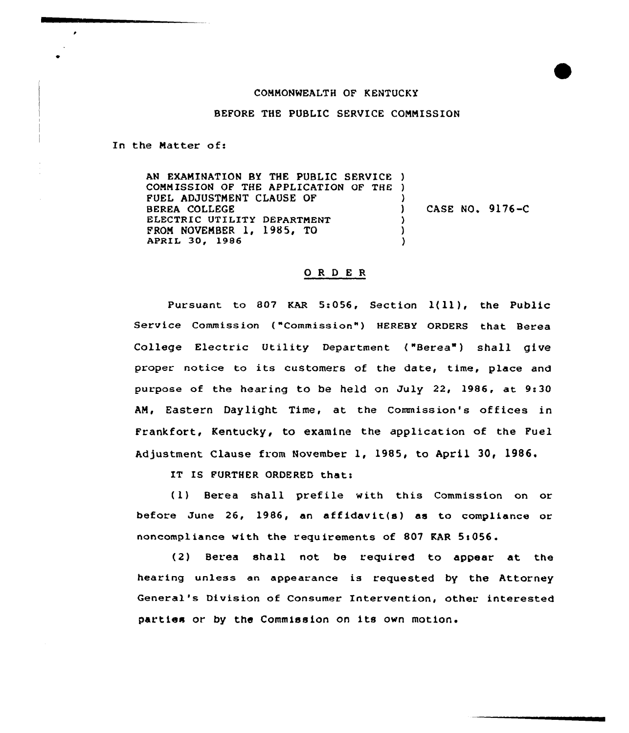## CDNNONMEALTH OF KENTUCKY

BEFORE THE PUBLIC SERVICE CONNISSION

In the Matter of:

AN EXANINATION BY THE PUBLIC SERVICE ) CONNISSION OF THE APPLICATION OF THE ) FUEL ADJUSTNENT CLAUSE OF BEREA COLLEGE ELECTRIC UTILITY DEPARTNENT PRON NOVENBER 1, 1985, TO APRIL 30, 1986 ) ) CASE NO. 9176-C ) ) )

## ORDER

Pursuant to 807 KAR 5:056, Section 1(11), the Public Service Commission ("Commission") HEREBY ORDERS that Berea College Electric Utility Department ("Berea") shall give proper notice to its customers of the date, time, place and purpose of the hearing to be held on July 22, 1986, at 9:30 AN, Eastern Daylight Time, at the Commission's offices in Frankfort, Kentucky, to examine the application of the Fuel Adjustment Clause from November 1, 1985, to April 30, 1986.

IT IS FURTHER ORDERED that:

(1) Berea shall prefile with this Commission on or before June 26, 1986, an affidavit(s) as to compliance or noncompliance with the requirements of 807 KAR 5:056.

(2) Berea shall not be required to appear at, the hearing unless an appearance is requested by the Attorney General's Division of Consumer Intervention, other interested parties or by the Commission on its own motion.